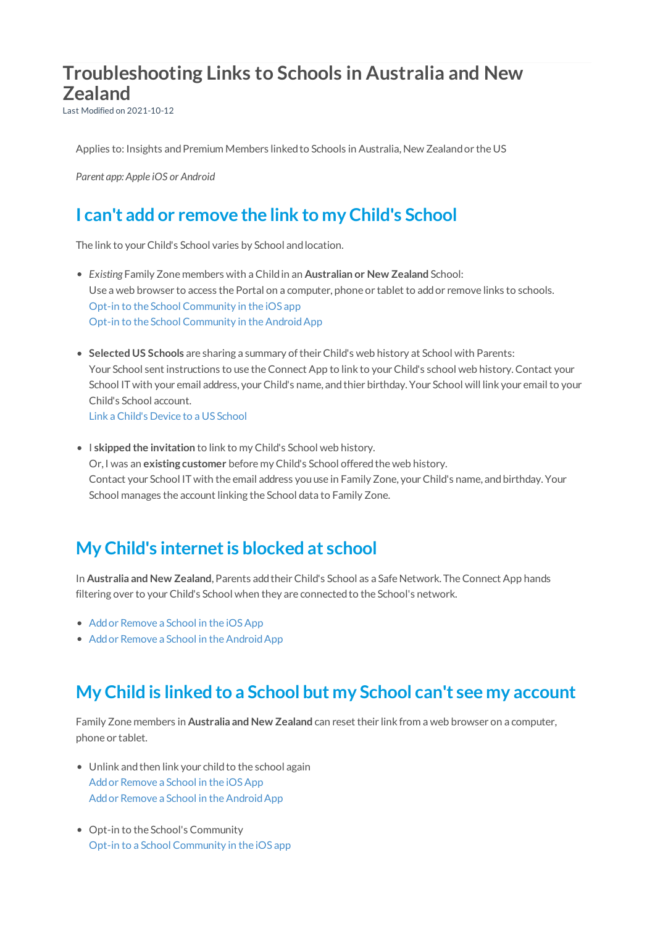### **Troubleshooting Links to Schools in Australia and New Zealand**

Last Modified on 2021-10-12

Applies to: Insights and Premium Members linked to Schools in Australia, New Zealand or the US

*Parent app: Apple iOS or Android*

# **I can't add or remove the link to my Child's School**

The link to your Child's School varies by School and location.

- *Existing* Family Zone members with a Childin an **Australian or New Zealand** School: Use a web browser to access the Portal on a computer, phone or tablet to addor remove links to schools. Opt-in to the School Community in the iOS app Opt-in to the School Community in the Android App
- **Selected US Schools** are sharing a summary of their Child's web history at School with Parents: Your School sent instructions to use the Connect App to link to your Child's school web history. Contact your School IT with your email address, your Child's name, and thier birthday. Your School will link your email to your Child's School account. Link a Child's Device to a US School

I **skipped the invitation** to link to my Child's School web history. Or, I was an **existing customer** before my Child's School offered the web history. Contact your School IT with the email address you use in Family Zone, your Child's name, and birthday. Your School manages the account linking the School data to Family Zone.

# **My Child's internet is blocked at school**

In Australia and New Zealand, Parents add their Child's School as a Safe Network. The Connect App hands filtering over to your Child's School when they are connected to the School's network.

- Add or Remove a School in the iOS App
- Add or Remove a School in the Android App

## **My Child is linked to a School but my School can't see my account**

Family Zone members in **Australia and New Zealand** can reset their link from a web browser on a computer, phone or tablet.

- Unlink and then link your child to the school again Addor Remove a School in the iOSApp Add or Remove a School in the Android App
- Opt-in to the School's Community Opt-in to a School Community in the iOS app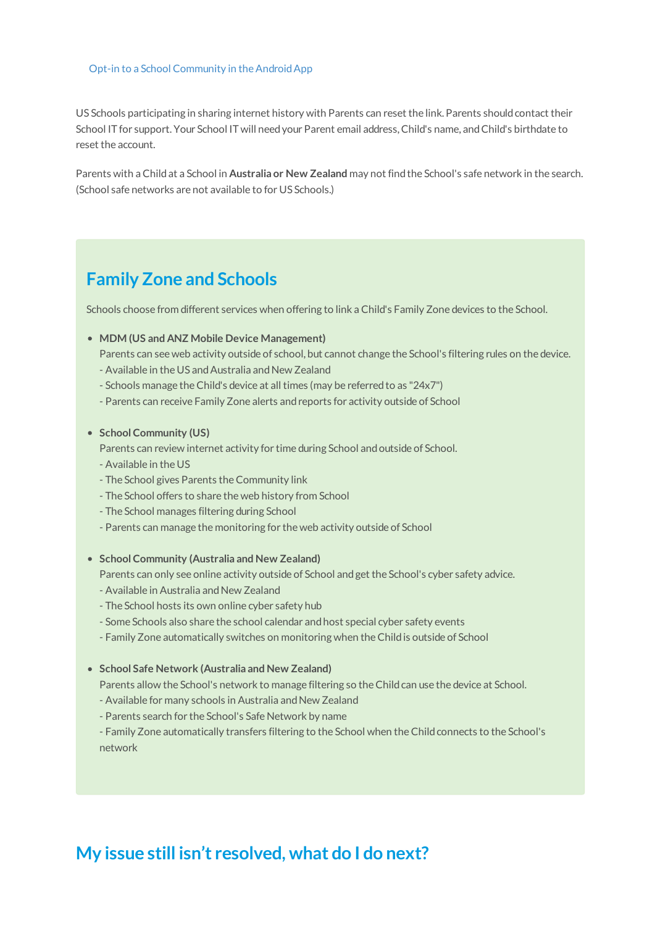#### Opt-in to a School Community in the Android App

US Schools participating in sharing internet history with Parents can reset the link. Parents shouldcontact their School IT for support. Your School IT will need your Parent email address, Child's name, and Child's birthdate to reset the account.

Parents with a Childat a School in **Australia or New Zealand** may not findthe School's safe network in the search. (School safe networks are not available to for US Schools.)

# **Family Zone and Schools**

Schools choose from different services when offering to link a Child's Family Zone devices to the School.

- **MDM (US and ANZ Mobile Device Management)**
	- Parents can see web activity outside of school, but cannot change the School's filtering rules on the device.
	- Available in the US and Australia and New Zealand
	- Schools manage theChild's device at alltimes (may be referredto as "24x7")
	- Parents can receive Family Zone alerts andreports for activity outside of School

#### **School Community (US)**

Parents can review internet activity for time during School andoutside of School.

- Available in the US
- The School gives Parents the Community link
- The School offers to share the web history from School
- The School manages filtering during School
- Parents can manage the monitoring for the web activity outside of School
- **School Community (Australia and New Zealand)**
	- Parents can only see online activity outside of School andget the School's cyber safety advice.
	- Available in Australia andNew Zealand
	- The School hosts its own online cyber safety hub
	- Some Schools also share the school calendar and host special cyber safety events
	- Family Zone automatically switches on monitoring when theChildis outside of School

#### **School Safe Network (Australia and New Zealand)**

Parents allow the School's network to manage filtering so the Child can use the device at School.

- Available for many schools in Australia and New Zealand
- Parents search for the School's Safe Network by name

- Family Zone automatically transfers filtering to the School when theChildconnects to the School's network

## **My issue still isn't resolved, what do I do next?**